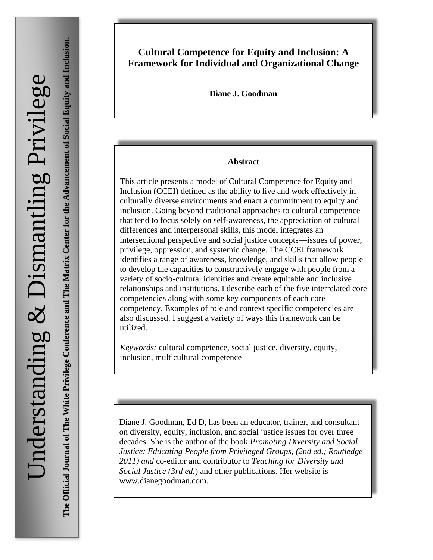**The Official Journal of The White Privilege Conference and The Matrix Center for the Advancement of Social Equity and Inclusion.** The Official Journal of The White Privilege Conference and The Matrix Center for the Advancement of Social Equity and Inclusion.

# **Cultural Competence for Equity and Inclusion: A Framework for Individual and Organizational Change**

**Diane J. Goodman**

#### **Abstract**

This article presents a model of Cultural Competence for Equity and Inclusion (CCEI) defined as the ability to live and work effectively in culturally diverse environments and enact a commitment to equity and inclusion. Going beyond traditional approaches to cultural competence that tend to focus solely on self-awareness, the appreciation of cultural differences and interpersonal skills, this model integrates an intersectional perspective and social justice concepts—issues of power, privilege, oppression, and systemic change. The CCEI framework identifies a range of awareness, knowledge, and skills that allow people to develop the capacities to constructively engage with people from a variety of socio-cultural identities and create equitable and inclusive relationships and institutions. I describe each of the five interrelated core competencies along with some key components of each core competency. Examples of role and context specific competencies are also discussed. I suggest a variety of ways this framework can be utilized.

*Keywords:* cultural competence, social justice, diversity, equity, inclusion, multicultural competence

Diane J. Goodman, Ed D, has been an educator, trainer, and consultant on diversity, equity, inclusion, and social justice issues for over three decades. She is the author of the book *Promoting Diversity and Social Justice: Educating People from Privileged Groups, (2nd ed.; Routledge 2011) and* co-editor and contributor to *Teaching for Diversity and Social Justice (3rd ed.*) and other publications. Her website is www.dianegoodman.com.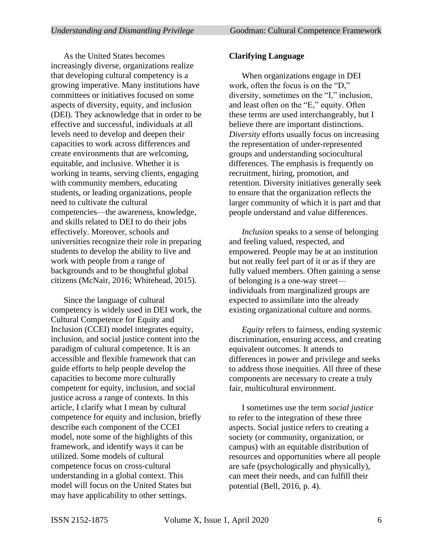As the United States becomes increasingly diverse, organizations realize that developing cultural competency is a growing imperative. Many institutions have committees or initiatives focused on some aspects of diversity, equity, and inclusion (DEI). They acknowledge that in order to be effective and successful, individuals at all levels need to develop and deepen their capacities to work across differences and create environments that are welcoming, equitable, and inclusive. Whether it is working in teams, serving clients, engaging with community members, educating students, or leading organizations, people need to cultivate the cultural competencies—the awareness, knowledge, and skills related to DEI to do their jobs effectively. Moreover, schools and universities recognize their role in preparing students to develop the ability to live and work with people from a range of backgrounds and to be thoughtful global citizens (McNair, 2016; Whitehead, 2015).

Since the language of cultural competency is widely used in DEI work, the Cultural Competence for Equity and Inclusion (CCEI) model integrates equity, inclusion, and social justice content into the paradigm of cultural competence. It is an accessible and flexible framework that can guide efforts to help people develop the capacities to become more culturally competent for equity, inclusion, and social justice across a range of contexts. In this article, I clarify what I mean by cultural competence for equity and inclusion, briefly describe each component of the CCEI model, note some of the highlights of this framework, and identify ways it can be utilized. Some models of cultural competence focus on cross-cultural understanding in a global context. This model will focus on the United States but may have applicability to other settings.

## **Clarifying Language**

When organizations engage in DEI work, often the focus is on the "D," diversity, sometimes on the "I," inclusion, and least often on the "E," equity. Often these terms are used interchangeably, but I believe there are important distinctions. *Diversity* efforts usually focus on increasing the representation of under-represented groups and understanding sociocultural differences. The emphasis is frequently on recruitment, hiring, promotion, and retention. Diversity initiatives generally seek to ensure that the organization reflects the larger community of which it is part and that people understand and value differences.

*Inclusion* speaks to a sense of belonging and feeling valued, respected, and empowered. People may be at an institution but not really feel part of it or as if they are fully valued members. Often gaining a sense of belonging is a one-way street individuals from marginalized groups are expected to assimilate into the already existing organizational culture and norms.

*Equity* refers to fairness, ending systemic discrimination, ensuring access, and creating equivalent outcomes. It attends to differences in power and privilege and seeks to address those inequities. All three of these components are necessary to create a truly fair, multicultural environment.

I sometimes use the term *social justice*  to refer to the integration of these three aspects. Social justice refers to creating a society (or community, organization, or campus) with an equitable distribution of resources and opportunities where all people are safe (psychologically and physically), can meet their needs, and can fulfill their potential (Bell, 2016, p. 4).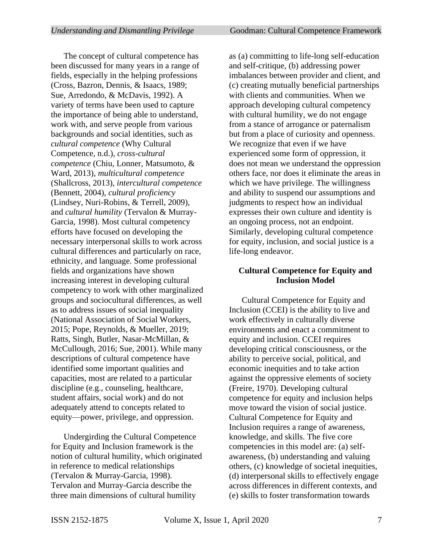The concept of cultural competence has been discussed for many years in a range of fields, especially in the helping professions (Cross, Bazron, Dennis, & Isaacs, 1989; Sue, Arredondo, & McDavis, 1992). A variety of terms have been used to capture the importance of being able to understand, work with, and serve people from various backgrounds and social identities, such as *cultural competence* (Why Cultural Competence, n.d.), *cross-cultural competence* (Chiu, Lonner, Matsumoto, & Ward, 2013), *multicultural competence* (Shallcross, 2013), *intercultural competence* (Bennett, 2004), *cultural proficiency* (Lindsey, Nuri-Robins, & Terrell, 2009), and *cultural humility* (Tervalon & Murray-Garcia, 1998). Most cultural competency efforts have focused on developing the necessary interpersonal skills to work across cultural differences and particularly on race, ethnicity, and language. Some professional fields and organizations have shown increasing interest in developing cultural competency to work with other marginalized groups and sociocultural differences, as well as to address issues of social inequality (National Association of Social Workers, 2015; Pope, Reynolds, & Mueller, 2019; Ratts, Singh, Butler, Nasar-McMillan, & McCullough, 2016; Sue, 2001). While many descriptions of cultural competence have identified some important qualities and capacities, most are related to a particular discipline (e.g., counseling, healthcare, student affairs, social work) and do not adequately attend to concepts related to equity—power, privilege, and oppression.

Undergirding the Cultural Competence for Equity and Inclusion framework is the notion of cultural humility, which originated in reference to medical relationships (Tervalon & Murray-Garcia, 1998). Tervalon and Murray-Garcia describe the three main dimensions of cultural humility

as (a) committing to life-long self-education and self-critique, (b) addressing power imbalances between provider and client, and (c) creating mutually beneficial partnerships with clients and communities. When we approach developing cultural competency with cultural humility, we do not engage from a stance of arrogance or paternalism but from a place of curiosity and openness. We recognize that even if we have experienced some form of oppression, it does not mean we understand the oppression others face, nor does it eliminate the areas in which we have privilege. The willingness and ability to suspend our assumptions and judgments to respect how an individual expresses their own culture and identity is an ongoing process, not an endpoint. Similarly, developing cultural competence for equity, inclusion, and social justice is a life-long endeavor.

# **Cultural Competence for Equity and Inclusion Model**

Cultural Competence for Equity and Inclusion (CCEI) is the ability to live and work effectively in culturally diverse environments and enact a commitment to equity and inclusion. CCEI requires developing critical consciousness, or the ability to perceive social, political, and economic inequities and to take action against the oppressive elements of society (Freire, 1970). Developing cultural competence for equity and inclusion helps move toward the vision of social justice. Cultural Competence for Equity and Inclusion requires a range of awareness, knowledge, and skills. The five core competencies in this model are: (a) selfawareness, (b) understanding and valuing others, (c) knowledge of societal inequities, (d) interpersonal skills to effectively engage across differences in different contexts, and (e) skills to foster transformation towards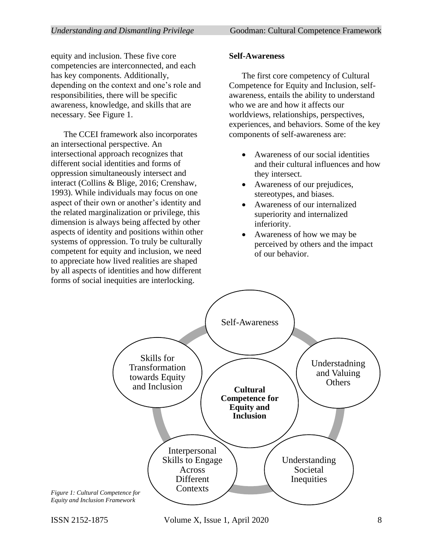equity and inclusion. These five core competencies are interconnected, and each has key components. Additionally, depending on the context and one's role and responsibilities, there will be specific awareness, knowledge, and skills that are necessary. See Figure 1.

The CCEI framework also incorporates an intersectional perspective. An intersectional approach recognizes that different social identities and forms of oppression simultaneously intersect and interact (Collins & Blige, 2016; Crenshaw, 1993). While individuals may focus on one aspect of their own or another's identity and the related marginalization or privilege, this dimension is always being affected by other aspects of identity and positions within other systems of oppression. To truly be culturally competent for equity and inclusion, we need to appreciate how lived realities are shaped by all aspects of identities and how different forms of social inequities are interlocking.

# **Self-Awareness**

The first core competency of Cultural Competence for Equity and Inclusion, selfawareness, entails the ability to understand who we are and how it affects our worldviews, relationships, perspectives, experiences, and behaviors. Some of the key components of self-awareness are:

- Awareness of our social identities and their cultural influences and how they intersect.
- Awareness of our prejudices, stereotypes, and biases.
- Awareness of our internalized superiority and internalized inferiority.
- Awareness of how we may be perceived by others and the impact of our behavior.

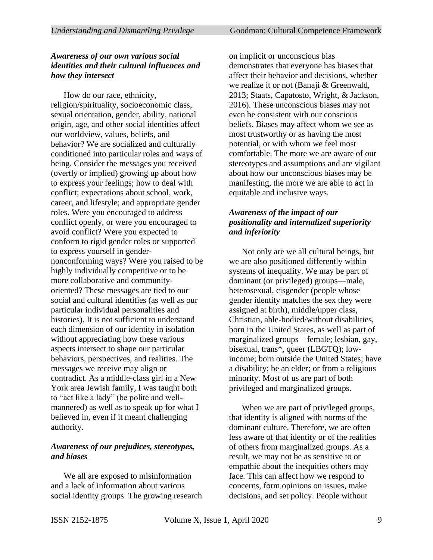#### *Understanding and Dismantling Privilege* **Goodman: Cultural Competence Framework**

#### *Awareness of our own various social identities and their cultural influences and how they intersect*

How do our race, ethnicity, religion/spirituality, socioeconomic class, sexual orientation, gender, ability, national origin, age, and other social identities affect our worldview, values, beliefs, and behavior? We are socialized and culturally conditioned into particular roles and ways of being. Consider the messages you received (overtly or implied) growing up about how to express your feelings; how to deal with conflict; expectations about school, work, career, and lifestyle; and appropriate gender roles. Were you encouraged to address conflict openly, or were you encouraged to avoid conflict? Were you expected to conform to rigid gender roles or supported to express yourself in gendernonconforming ways? Were you raised to be highly individually competitive or to be more collaborative and communityoriented? These messages are tied to our social and cultural identities (as well as our particular individual personalities and histories). It is not sufficient to understand each dimension of our identity in isolation without appreciating how these various aspects intersect to shape our particular behaviors, perspectives, and realities. The messages we receive may align or contradict. As a middle-class girl in a New York area Jewish family, I was taught both to "act like a lady" (be polite and wellmannered) as well as to speak up for what I believed in, even if it meant challenging authority.

## *Awareness of our prejudices, stereotypes, and biases*

We all are exposed to misinformation and a lack of information about various social identity groups. The growing research on implicit or unconscious bias demonstrates that everyone has biases that affect their behavior and decisions, whether we realize it or not (Banaji & Greenwald, 2013; Staats, Capatosto, Wright, & Jackson, 2016). These unconscious biases may not even be consistent with our conscious beliefs. Biases may affect whom we see as most trustworthy or as having the most potential, or with whom we feel most comfortable. The more we are aware of our stereotypes and assumptions and are vigilant about how our unconscious biases may be manifesting, the more we are able to act in equitable and inclusive ways.

## *Awareness of the impact of our positionality and internalized superiority and inferiority*

Not only are we all cultural beings, but we are also positioned differently within systems of inequality. We may be part of dominant (or privileged) groups—male, heterosexual, cisgender (people whose gender identity matches the sex they were assigned at birth), middle/upper class, Christian, able-bodied/without disabilities, born in the United States, as well as part of marginalized groups—female; lesbian, gay, bisexual, trans\*, queer (LBGTQ); lowincome; born outside the United States; have a disability; be an elder; or from a religious minority. Most of us are part of both privileged and marginalized groups.

When we are part of privileged groups, that identity is aligned with norms of the dominant culture. Therefore, we are often less aware of that identity or of the realities of others from marginalized groups. As a result, we may not be as sensitive to or empathic about the inequities others may face. This can affect how we respond to concerns, form opinions on issues, make decisions, and set policy. People without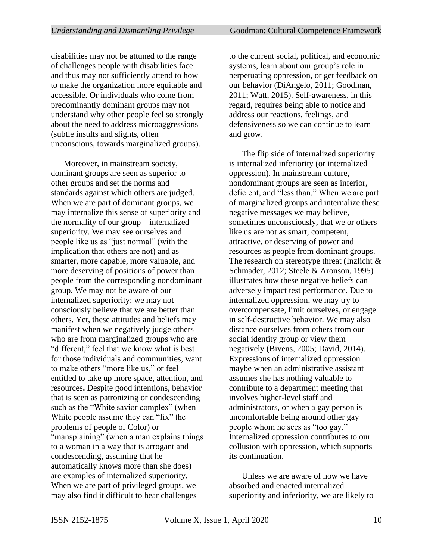disabilities may not be attuned to the range of challenges people with disabilities face and thus may not sufficiently attend to how to make the organization more equitable and accessible. Or individuals who come from predominantly dominant groups may not understand why other people feel so strongly about the need to address microaggressions (subtle insults and slights, often unconscious, towards marginalized groups).

Moreover, in mainstream society, dominant groups are seen as superior to other groups and set the norms and standards against which others are judged. When we are part of dominant groups, we may internalize this sense of superiority and the normality of our group—internalized superiority. We may see ourselves and people like us as "just normal" (with the implication that others are not) and as smarter, more capable, more valuable, and more deserving of positions of power than people from the corresponding nondominant group. We may not be aware of our internalized superiority; we may not consciously believe that we are better than others. Yet, these attitudes and beliefs may manifest when we negatively judge others who are from marginalized groups who are "different," feel that we know what is best for those individuals and communities, want to make others "more like us," or feel entitled to take up more space, attention, and resources**.** Despite good intentions, behavior that is seen as patronizing or condescending such as the "White savior complex" (when White people assume they can "fix" the problems of people of Color) or "mansplaining" (when a man explains things to a woman in a way that is arrogant and condescending, assuming that he automatically knows more than she does) are examples of internalized superiority. When we are part of privileged groups, we may also find it difficult to hear challenges

to the current social, political, and economic systems, learn about our group's role in perpetuating oppression, or get feedback on our behavior (DiAngelo, 2011; Goodman, 2011; Watt, 2015). Self-awareness, in this regard, requires being able to notice and address our reactions, feelings, and defensiveness so we can continue to learn and grow.

The flip side of internalized superiority is internalized inferiority (or internalized oppression). In mainstream culture, nondominant groups are seen as inferior, deficient, and "less than." When we are part of marginalized groups and internalize these negative messages we may believe, sometimes unconsciously, that we or others like us are not as smart, competent, attractive, or deserving of power and resources as people from dominant groups. The research on stereotype threat (Inzlicht & Schmader, 2012; Steele & Aronson, 1995) illustrates how these negative beliefs can adversely impact test performance. Due to internalized oppression, we may try to overcompensate, limit ourselves, or engage in self-destructive behavior. We may also distance ourselves from others from our social identity group or view them negatively (Bivens, 2005; David, 2014). Expressions of internalized oppression maybe when an administrative assistant assumes she has nothing valuable to contribute to a department meeting that involves higher-level staff and administrators, or when a gay person is uncomfortable being around other gay people whom he sees as "too gay." Internalized oppression contributes to our collusion with oppression, which supports its continuation.

Unless we are aware of how we have absorbed and enacted internalized superiority and inferiority, we are likely to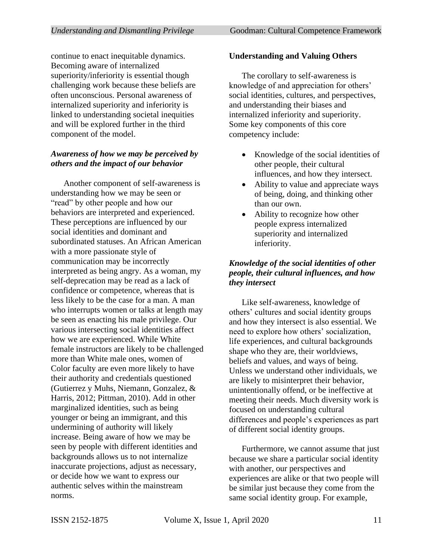continue to enact inequitable dynamics. Becoming aware of internalized superiority/inferiority is essential though challenging work because these beliefs are often unconscious. Personal awareness of internalized superiority and inferiority is linked to understanding societal inequities and will be explored further in the third component of the model.

# *Awareness of how we may be perceived by others and the impact of our behavior*

Another component of self-awareness is understanding how we may be seen or "read" by other people and how our behaviors are interpreted and experienced. These perceptions are influenced by our social identities and dominant and subordinated statuses. An African American with a more passionate style of communication may be incorrectly interpreted as being angry. As a woman, my self-deprecation may be read as a lack of confidence or competence, whereas that is less likely to be the case for a man. A man who interrupts women or talks at length may be seen as enacting his male privilege. Our various intersecting social identities affect how we are experienced. While White female instructors are likely to be challenged more than White male ones, women of Color faculty are even more likely to have their authority and credentials questioned (Gutierrez y Muhs, Niemann, Gonzalez, & Harris, 2012; Pittman, 2010). Add in other marginalized identities, such as being younger or being an immigrant, and this undermining of authority will likely increase. Being aware of how we may be seen by people with different identities and backgrounds allows us to not internalize inaccurate projections, adjust as necessary, or decide how we want to express our authentic selves within the mainstream norms.

### **Understanding and Valuing Others**

The corollary to self-awareness is knowledge of and appreciation for others' social identities, cultures, and perspectives, and understanding their biases and internalized inferiority and superiority. Some key components of this core competency include:

- Knowledge of the social identities of other people, their cultural influences, and how they intersect.
- Ability to value and appreciate ways of being, doing, and thinking other than our own.
- Ability to recognize how other people express internalized superiority and internalized inferiority.

## *Knowledge of the social identities of other people, their cultural influences, and how they intersect*

Like self-awareness, knowledge of others' cultures and social identity groups and how they intersect is also essential. We need to explore how others' socialization, life experiences, and cultural backgrounds shape who they are, their worldviews, beliefs and values, and ways of being. Unless we understand other individuals, we are likely to misinterpret their behavior, unintentionally offend, or be ineffective at meeting their needs. Much diversity work is focused on understanding cultural differences and people's experiences as part of different social identity groups.

Furthermore, we cannot assume that just because we share a particular social identity with another, our perspectives and experiences are alike or that two people will be similar just because they come from the same social identity group. For example,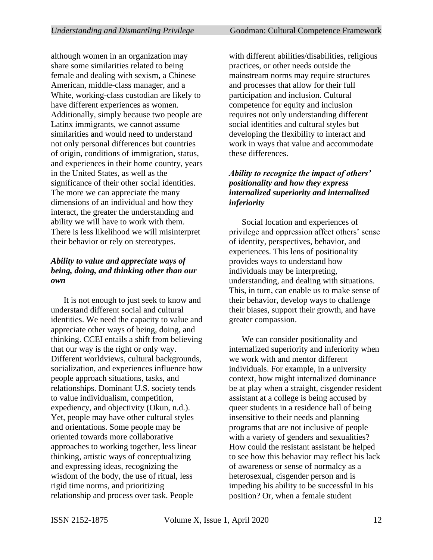although women in an organization may share some similarities related to being female and dealing with sexism, a Chinese American, middle-class manager, and a White, working-class custodian are likely to have different experiences as women. Additionally, simply because two people are Latinx immigrants, we cannot assume similarities and would need to understand not only personal differences but countries of origin, conditions of immigration, status, and experiences in their home country, years in the United States, as well as the significance of their other social identities. The more we can appreciate the many dimensions of an individual and how they interact, the greater the understanding and ability we will have to work with them. There is less likelihood we will misinterpret their behavior or rely on stereotypes.

## *Ability to value and appreciate ways of being, doing, and thinking other than our own*

It is not enough to just seek to know and understand different social and cultural identities. We need the capacity to value and appreciate other ways of being, doing, and thinking. CCEI entails a shift from believing that our way is the right or only way. Different worldviews, cultural backgrounds, socialization, and experiences influence how people approach situations, tasks, and relationships. Dominant U.S. society tends to value individualism, competition, expediency, and objectivity (Okun, n.d.). Yet, people may have other cultural styles and orientations. Some people may be oriented towards more collaborative approaches to working together, less linear thinking, artistic ways of conceptualizing and expressing ideas, recognizing the wisdom of the body, the use of ritual, less rigid time norms, and prioritizing relationship and process over task. People

with different abilities/disabilities, religious practices, or other needs outside the mainstream norms may require structures and processes that allow for their full participation and inclusion. Cultural competence for equity and inclusion requires not only understanding different social identities and cultural styles but developing the flexibility to interact and work in ways that value and accommodate these differences.

## *Ability to recognize the impact of others' positionality and how they express internalized superiority and internalized inferiority*

Social location and experiences of privilege and oppression affect others' sense of identity, perspectives, behavior, and experiences. This lens of positionality provides ways to understand how individuals may be interpreting, understanding, and dealing with situations. This, in turn, can enable us to make sense of their behavior, develop ways to challenge their biases, support their growth, and have greater compassion.

We can consider positionality and internalized superiority and inferiority when we work with and mentor different individuals. For example, in a university context, how might internalized dominance be at play when a straight, cisgender resident assistant at a college is being accused by queer students in a residence hall of being insensitive to their needs and planning programs that are not inclusive of people with a variety of genders and sexualities? How could the resistant assistant be helped to see how this behavior may reflect his lack of awareness or sense of normalcy as a heterosexual, cisgender person and is impeding his ability to be successful in his position? Or, when a female student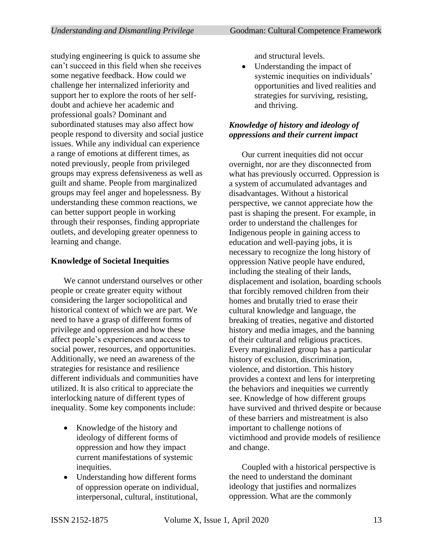studying engineering is quick to assume she can't succeed in this field when she receives some negative feedback. How could we challenge her internalized inferiority and support her to explore the roots of her selfdoubt and achieve her academic and professional goals? Dominant and subordinated statuses may also affect how people respond to diversity and social justice issues. While any individual can experience a range of emotions at different times, as noted previously, people from privileged groups may express defensiveness as well as guilt and shame. People from marginalized groups may feel anger and hopelessness. By understanding these common reactions, we can better support people in working through their responses, finding appropriate outlets, and developing greater openness to learning and change.

# **Knowledge of Societal Inequities**

We cannot understand ourselves or other people or create greater equity without considering the larger sociopolitical and historical context of which we are part. We need to have a grasp of different forms of privilege and oppression and how these affect people's experiences and access to social power, resources, and opportunities. Additionally, we need an awareness of the strategies for resistance and resilience different individuals and communities have utilized. It is also critical to appreciate the interlocking nature of different types of inequality. Some key components include:

- Knowledge of the history and ideology of different forms of oppression and how they impact current manifestations of systemic inequities.
- Understanding how different forms of oppression operate on individual, interpersonal, cultural, institutional,

and structural levels.

Understanding the impact of systemic inequities on individuals' opportunities and lived realities and strategies for surviving, resisting, and thriving.

# *Knowledge of history and ideology of oppressions and their current impact*

Our current inequities did not occur overnight, nor are they disconnected from what has previously occurred. Oppression is a system of accumulated advantages and disadvantages. Without a historical perspective, we cannot appreciate how the past is shaping the present. For example, in order to understand the challenges for Indigenous people in gaining access to education and well-paying jobs, it is necessary to recognize the long history of oppression Native people have endured, including the stealing of their lands, displacement and isolation, boarding schools that forcibly removed children from their homes and brutally tried to erase their cultural knowledge and language, the breaking of treaties, negative and distorted history and media images, and the banning of their cultural and religious practices. Every marginalized group has a particular history of exclusion, discrimination, violence, and distortion. This history provides a context and lens for interpreting the behaviors and inequities we currently see. Knowledge of how different groups have survived and thrived despite or because of these barriers and mistreatment is also important to challenge notions of victimhood and provide models of resilience and change.

Coupled with a historical perspective is the need to understand the dominant ideology that justifies and normalizes oppression. What are the commonly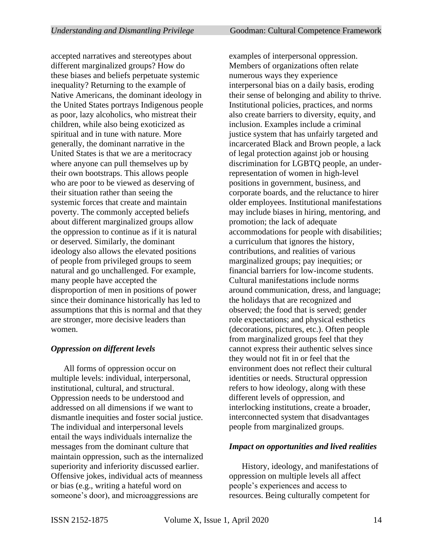accepted narratives and stereotypes about different marginalized groups? How do these biases and beliefs perpetuate systemic inequality? Returning to the example of Native Americans, the dominant ideology in the United States portrays Indigenous people as poor, lazy alcoholics, who mistreat their children, while also being exoticized as spiritual and in tune with nature. More generally, the dominant narrative in the United States is that we are a meritocracy where anyone can pull themselves up by their own bootstraps. This allows people who are poor to be viewed as deserving of their situation rather than seeing the systemic forces that create and maintain poverty. The commonly accepted beliefs about different marginalized groups allow the oppression to continue as if it is natural or deserved. Similarly, the dominant ideology also allows the elevated positions of people from privileged groups to seem natural and go unchallenged. For example, many people have accepted the disproportion of men in positions of power since their dominance historically has led to assumptions that this is normal and that they are stronger, more decisive leaders than women.

#### *Oppression on different levels*

All forms of oppression occur on multiple levels: individual, interpersonal, institutional, cultural, and structural. Oppression needs to be understood and addressed on all dimensions if we want to dismantle inequities and foster social justice. The individual and interpersonal levels entail the ways individuals internalize the messages from the dominant culture that maintain oppression, such as the internalized superiority and inferiority discussed earlier. Offensive jokes, individual acts of meanness or bias (e.g., writing a hateful word on someone's door), and microaggressions are

examples of interpersonal oppression. Members of organizations often relate numerous ways they experience interpersonal bias on a daily basis, eroding their sense of belonging and ability to thrive. Institutional policies, practices, and norms also create barriers to diversity, equity, and inclusion. Examples include a criminal justice system that has unfairly targeted and incarcerated Black and Brown people, a lack of legal protection against job or housing discrimination for LGBTQ people, an underrepresentation of women in high-level positions in government, business, and corporate boards, and the reluctance to hirer older employees. Institutional manifestations may include biases in hiring, mentoring, and promotion; the lack of adequate accommodations for people with disabilities; a curriculum that ignores the history, contributions, and realities of various marginalized groups; pay inequities; or financial barriers for low-income students. Cultural manifestations include norms around communication, dress, and language; the holidays that are recognized and observed; the food that is served; gender role expectations; and physical esthetics (decorations, pictures, etc.). Often people from marginalized groups feel that they cannot express their authentic selves since they would not fit in or feel that the environment does not reflect their cultural identities or needs. Structural oppression refers to how ideology, along with these different levels of oppression, and interlocking institutions, create a broader, interconnected system that disadvantages people from marginalized groups.

#### *Impact on opportunities and lived realities*

History, ideology, and manifestations of oppression on multiple levels all affect people's experiences and access to resources. Being culturally competent for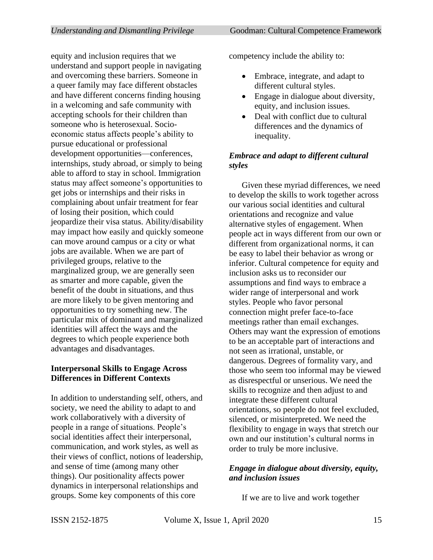equity and inclusion requires that we understand and support people in navigating and overcoming these barriers. Someone in a queer family may face different obstacles and have different concerns finding housing in a welcoming and safe community with accepting schools for their children than someone who is heterosexual. Socioeconomic status affects people's ability to pursue educational or professional development opportunities—conferences, internships, study abroad, or simply to being able to afford to stay in school. Immigration status may affect someone's opportunities to get jobs or internships and their risks in complaining about unfair treatment for fear of losing their position, which could jeopardize their visa status. Ability/disability may impact how easily and quickly someone can move around campus or a city or what jobs are available. When we are part of privileged groups, relative to the marginalized group, we are generally seen as smarter and more capable, given the benefit of the doubt in situations, and thus are more likely to be given mentoring and opportunities to try something new. The particular mix of dominant and marginalized identities will affect the ways and the degrees to which people experience both advantages and disadvantages.

## **Interpersonal Skills to Engage Across Differences in Different Contexts**

In addition to understanding self, others, and society, we need the ability to adapt to and work collaboratively with a diversity of people in a range of situations. People's social identities affect their interpersonal, communication, and work styles, as well as their views of conflict, notions of leadership, and sense of time (among many other things). Our positionality affects power dynamics in interpersonal relationships and groups. Some key components of this core

competency include the ability to:

- Embrace, integrate, and adapt to different cultural styles.
- Engage in dialogue about diversity, equity, and inclusion issues.
- Deal with conflict due to cultural differences and the dynamics of inequality.

### *Embrace and adapt to different cultural styles*

Given these myriad differences, we need to develop the skills to work together across our various social identities and cultural orientations and recognize and value alternative styles of engagement. When people act in ways different from our own or different from organizational norms, it can be easy to label their behavior as wrong or inferior. Cultural competence for equity and inclusion asks us to reconsider our assumptions and find ways to embrace a wider range of interpersonal and work styles. People who favor personal connection might prefer face-to-face meetings rather than email exchanges. Others may want the expression of emotions to be an acceptable part of interactions and not seen as irrational, unstable, or dangerous. Degrees of formality vary, and those who seem too informal may be viewed as disrespectful or unserious. We need the skills to recognize and then adjust to and integrate these different cultural orientations, so people do not feel excluded, silenced, or misinterpreted. We need the flexibility to engage in ways that stretch our own and our institution's cultural norms in order to truly be more inclusive.

## *Engage in dialogue about diversity, equity, and inclusion issues*

If we are to live and work together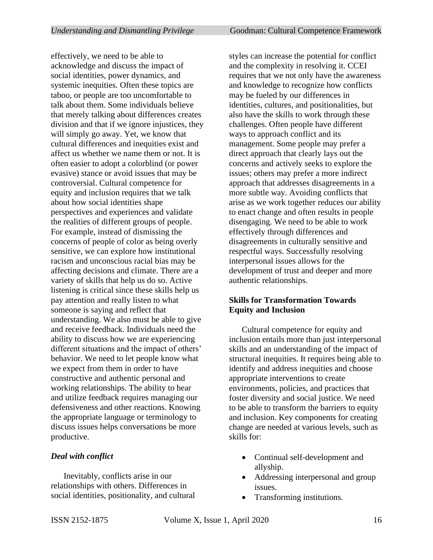effectively, we need to be able to acknowledge and discuss the impact of social identities, power dynamics, and systemic inequities. Often these topics are taboo, or people are too uncomfortable to talk about them. Some individuals believe that merely talking about differences creates division and that if we ignore injustices, they will simply go away. Yet, we know that cultural differences and inequities exist and affect us whether we name them or not. It is often easier to adopt a colorblind (or power evasive) stance or avoid issues that may be controversial. Cultural competence for equity and inclusion requires that we talk about how social identities shape perspectives and experiences and validate the realities of different groups of people. For example, instead of dismissing the concerns of people of color as being overly sensitive, we can explore how institutional racism and unconscious racial bias may be affecting decisions and climate. There are a variety of skills that help us do so. Active listening is critical since these skills help us pay attention and really listen to what someone is saying and reflect that understanding. We also must be able to give and receive feedback. Individuals need the ability to discuss how we are experiencing different situations and the impact of others' behavior. We need to let people know what we expect from them in order to have constructive and authentic personal and working relationships. The ability to hear and utilize feedback requires managing our defensiveness and other reactions. Knowing the appropriate language or terminology to discuss issues helps conversations be more productive.

#### *Deal with conflict*

Inevitably, conflicts arise in our relationships with others. Differences in social identities, positionality, and cultural styles can increase the potential for conflict and the complexity in resolving it. CCEI requires that we not only have the awareness and knowledge to recognize how conflicts may be fueled by our differences in identities, cultures, and positionalities, but also have the skills to work through these challenges. Often people have different ways to approach conflict and its management. Some people may prefer a direct approach that clearly lays out the concerns and actively seeks to explore the issues; others may prefer a more indirect approach that addresses disagreements in a more subtle way. Avoiding conflicts that arise as we work together reduces our ability to enact change and often results in people disengaging. We need to be able to work effectively through differences and disagreements in culturally sensitive and respectful ways. Successfully resolving interpersonal issues allows for the development of trust and deeper and more authentic relationships.

# **Skills for Transformation Towards Equity and Inclusion**

Cultural competence for equity and inclusion entails more than just interpersonal skills and an understanding of the impact of structural inequities. It requires being able to identify and address inequities and choose appropriate interventions to create environments, policies, and practices that foster diversity and social justice. We need to be able to transform the barriers to equity and inclusion. Key components for creating change are needed at various levels, such as skills for:

- Continual self-development and allyship.
- Addressing interpersonal and group issues.
- Transforming institutions.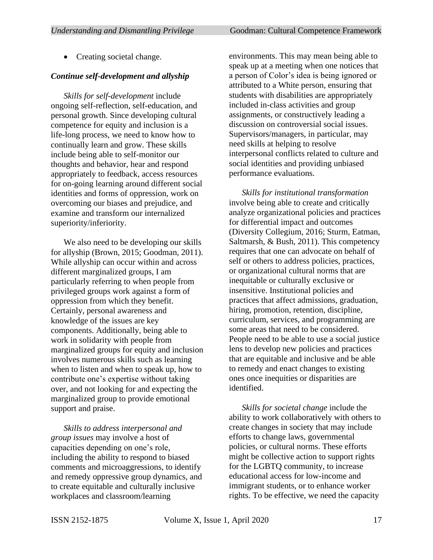#### *Continue self-development and allyship*

*Skills for self-development* include ongoing self-reflection, self-education, and personal growth. Since developing cultural competence for equity and inclusion is a life-long process, we need to know how to continually learn and grow. These skills include being able to self-monitor our thoughts and behavior, hear and respond appropriately to feedback, access resources for on-going learning around different social identities and forms of oppression, work on overcoming our biases and prejudice, and examine and transform our internalized superiority/inferiority.

We also need to be developing our skills for allyship (Brown, 2015; Goodman, 2011). While allyship can occur within and across different marginalized groups, I am particularly referring to when people from privileged groups work against a form of oppression from which they benefit. Certainly, personal awareness and knowledge of the issues are key components. Additionally, being able to work in solidarity with people from marginalized groups for equity and inclusion involves numerous skills such as learning when to listen and when to speak up, how to contribute one's expertise without taking over, and not looking for and expecting the marginalized group to provide emotional support and praise.

*Skills to address interpersonal and group issues* may involve a host of capacities depending on one's role, including the ability to respond to biased comments and microaggressions, to identify and remedy oppressive group dynamics, and to create equitable and culturally inclusive workplaces and classroom/learning

environments. This may mean being able to speak up at a meeting when one notices that a person of Color's idea is being ignored or attributed to a White person, ensuring that students with disabilities are appropriately included in-class activities and group assignments, or constructively leading a discussion on controversial social issues. Supervisors/managers, in particular, may need skills at helping to resolve interpersonal conflicts related to culture and social identities and providing unbiased performance evaluations.

*Skills for institutional transformation* involve being able to create and critically analyze organizational policies and practices for differential impact and outcomes (Diversity Collegium, 2016; Sturm, Eatman, Saltmarsh, & Bush, 2011). This competency requires that one can advocate on behalf of self or others to address policies, practices, or organizational cultural norms that are inequitable or culturally exclusive or insensitive. Institutional policies and practices that affect admissions, graduation, hiring, promotion, retention, discipline, curriculum, services, and programming are some areas that need to be considered. People need to be able to use a social justice lens to develop new policies and practices that are equitable and inclusive and be able to remedy and enact changes to existing ones once inequities or disparities are identified.

*Skills for societal change* include the ability to work collaboratively with others to create changes in society that may include efforts to change laws, governmental policies, or cultural norms. These efforts might be collective action to support rights for the LGBTQ community, to increase educational access for low-income and immigrant students, or to enhance worker rights. To be effective, we need the capacity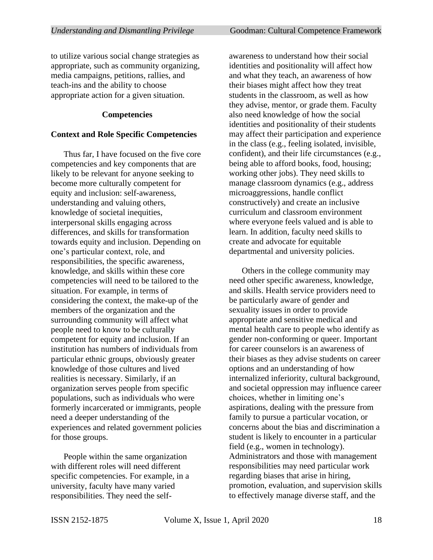to utilize various social change strategies as appropriate, such as community organizing, media campaigns, petitions, rallies, and teach-ins and the ability to choose appropriate action for a given situation.

#### **Competencies**

#### **Context and Role Specific Competencies**

Thus far, I have focused on the five core competencies and key components that are likely to be relevant for anyone seeking to become more culturally competent for equity and inclusion: self-awareness, understanding and valuing others, knowledge of societal inequities, interpersonal skills engaging across differences, and skills for transformation towards equity and inclusion. Depending on one's particular context, role, and responsibilities, the specific awareness, knowledge, and skills within these core competencies will need to be tailored to the situation. For example, in terms of considering the context, the make-up of the members of the organization and the surrounding community will affect what people need to know to be culturally competent for equity and inclusion. If an institution has numbers of individuals from particular ethnic groups, obviously greater knowledge of those cultures and lived realities is necessary. Similarly, if an organization serves people from specific populations, such as individuals who were formerly incarcerated or immigrants, people need a deeper understanding of the experiences and related government policies for those groups.

People within the same organization with different roles will need different specific competencies. For example, in a university, faculty have many varied responsibilities. They need the selfawareness to understand how their social identities and positionality will affect how and what they teach, an awareness of how their biases might affect how they treat students in the classroom, as well as how they advise, mentor, or grade them. Faculty also need knowledge of how the social identities and positionality of their students may affect their participation and experience in the class (e.g., feeling isolated, invisible, confident), and their life circumstances (e.g., being able to afford books, food, housing; working other jobs). They need skills to manage classroom dynamics (e.g., address microaggressions, handle conflict constructively) and create an inclusive curriculum and classroom environment where everyone feels valued and is able to learn. In addition, faculty need skills to create and advocate for equitable departmental and university policies.

Others in the college community may need other specific awareness, knowledge, and skills. Health service providers need to be particularly aware of gender and sexuality issues in order to provide appropriate and sensitive medical and mental health care to people who identify as gender non-conforming or queer. Important for career counselors is an awareness of their biases as they advise students on career options and an understanding of how internalized inferiority, cultural background, and societal oppression may influence career choices, whether in limiting one's aspirations, dealing with the pressure from family to pursue a particular vocation, or concerns about the bias and discrimination a student is likely to encounter in a particular field (e.g., women in technology). Administrators and those with management responsibilities may need particular work regarding biases that arise in hiring, promotion, evaluation, and supervision skills to effectively manage diverse staff, and the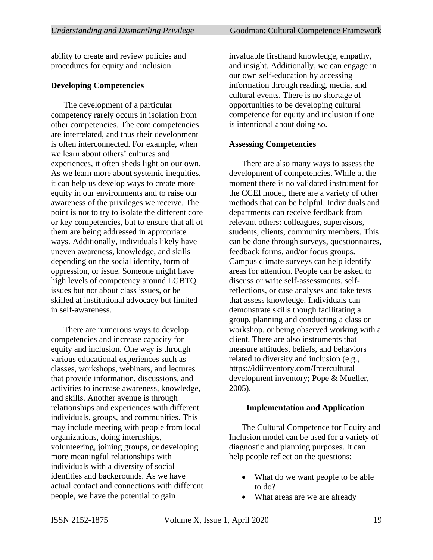ability to create and review policies and procedures for equity and inclusion.

#### **Developing Competencies**

The development of a particular competency rarely occurs in isolation from other competencies. The core competencies are interrelated, and thus their development is often interconnected. For example, when we learn about others' cultures and experiences, it often sheds light on our own. As we learn more about systemic inequities, it can help us develop ways to create more equity in our environments and to raise our awareness of the privileges we receive. The point is not to try to isolate the different core or key competencies, but to ensure that all of them are being addressed in appropriate ways. Additionally, individuals likely have uneven awareness, knowledge, and skills depending on the social identity, form of oppression, or issue. Someone might have high levels of competency around LGBTQ issues but not about class issues, or be skilled at institutional advocacy but limited in self-awareness.

There are numerous ways to develop competencies and increase capacity for equity and inclusion. One way is through various educational experiences such as classes, workshops, webinars, and lectures that provide information, discussions, and activities to increase awareness, knowledge, and skills. Another avenue is through relationships and experiences with different individuals, groups, and communities. This may include meeting with people from local organizations, doing internships, volunteering, joining groups, or developing more meaningful relationships with individuals with a diversity of social identities and backgrounds. As we have actual contact and connections with different people, we have the potential to gain

invaluable firsthand knowledge, empathy, and insight. Additionally, we can engage in our own self-education by accessing information through reading, media, and cultural events. There is no shortage of opportunities to be developing cultural competence for equity and inclusion if one is intentional about doing so.

#### **Assessing Competencies**

There are also many ways to assess the development of competencies. While at the moment there is no validated instrument for the CCEI model, there are a variety of other methods that can be helpful. Individuals and departments can receive feedback from relevant others: colleagues, supervisors, students, clients, community members. This can be done through surveys, questionnaires, feedback forms, and/or focus groups. Campus climate surveys can help identify areas for attention. People can be asked to discuss or write self-assessments, selfreflections, or case analyses and take tests that assess knowledge. Individuals can demonstrate skills though facilitating a group, planning and conducting a class or workshop, or being observed working with a client. There are also instruments that measure attitudes, beliefs, and behaviors related to diversity and inclusion (e.g., https://idiinventory.com/Intercultural development inventory; Pope & Mueller, 2005).

#### **Implementation and Application**

The Cultural Competence for Equity and Inclusion model can be used for a variety of diagnostic and planning purposes. It can help people reflect on the questions:

- What do we want people to be able to do?
- What areas are we are already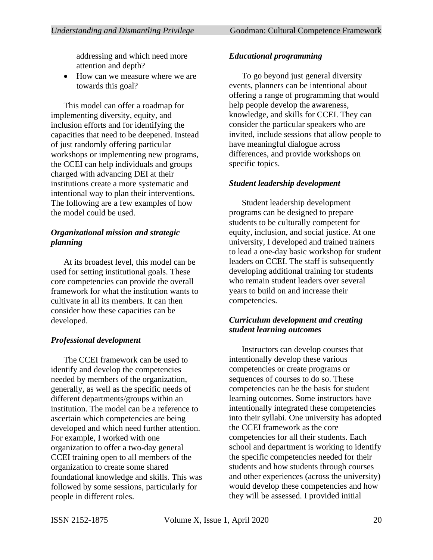addressing and which need more attention and depth?

• How can we measure where we are towards this goal?

This model can offer a roadmap for implementing diversity, equity, and inclusion efforts and for identifying the capacities that need to be deepened. Instead of just randomly offering particular workshops or implementing new programs, the CCEI can help individuals and groups charged with advancing DEI at their institutions create a more systematic and intentional way to plan their interventions. The following are a few examples of how the model could be used.

# *Organizational mission and strategic planning*

At its broadest level, this model can be used for setting institutional goals. These core competencies can provide the overall framework for what the institution wants to cultivate in all its members. It can then consider how these capacities can be developed.

## *Professional development*

The CCEI framework can be used to identify and develop the competencies needed by members of the organization, generally, as well as the specific needs of different departments/groups within an institution. The model can be a reference to ascertain which competencies are being developed and which need further attention. For example, I worked with one organization to offer a two-day general CCEI training open to all members of the organization to create some shared foundational knowledge and skills. This was followed by some sessions, particularly for people in different roles.

## *Educational programming*

To go beyond just general diversity events, planners can be intentional about offering a range of programming that would help people develop the awareness, knowledge, and skills for CCEI. They can consider the particular speakers who are invited, include sessions that allow people to have meaningful dialogue across differences, and provide workshops on specific topics.

# *Student leadership development*

Student leadership development programs can be designed to prepare students to be culturally competent for equity, inclusion, and social justice. At one university, I developed and trained trainers to lead a one-day basic workshop for student leaders on CCEI. The staff is subsequently developing additional training for students who remain student leaders over several years to build on and increase their competencies.

## *Curriculum development and creating student learning outcomes*

Instructors can develop courses that intentionally develop these various competencies or create programs or sequences of courses to do so. These competencies can be the basis for student learning outcomes. Some instructors have intentionally integrated these competencies into their syllabi. One university has adopted the CCEI framework as the core competencies for all their students. Each school and department is working to identify the specific competencies needed for their students and how students through courses and other experiences (across the university) would develop these competencies and how they will be assessed. I provided initial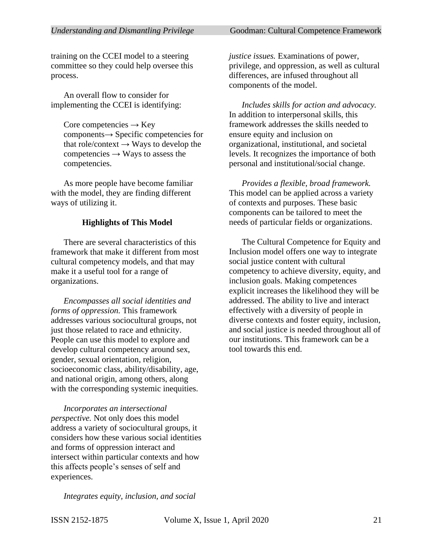training on the CCEI model to a steering committee so they could help oversee this process.

An overall flow to consider for implementing the CCEI is identifying:

Core competencies  $\rightarrow$  Key components→ Specific competencies for that role/context  $\rightarrow$  Ways to develop the competencies  $\rightarrow$  Ways to assess the competencies.

As more people have become familiar with the model, they are finding different ways of utilizing it.

#### **Highlights of This Model**

There are several characteristics of this framework that make it different from most cultural competency models, and that may make it a useful tool for a range of organizations.

*Encompasses all social identities and forms of oppression.* This framework addresses various sociocultural groups, not just those related to race and ethnicity. People can use this model to explore and develop cultural competency around sex, gender, sexual orientation, religion, socioeconomic class, ability/disability, age, and national origin, among others, along with the corresponding systemic inequities.

*Incorporates an intersectional perspective.* Not only does this model address a variety of sociocultural groups, it considers how these various social identities and forms of oppression interact and intersect within particular contexts and how this affects people's senses of self and experiences.

*Integrates equity, inclusion, and social* 

*justice issues.* Examinations of power, privilege, and oppression, as well as cultural differences, are infused throughout all components of the model.

*Includes skills for action and advocacy.* In addition to interpersonal skills, this framework addresses the skills needed to ensure equity and inclusion on organizational, institutional, and societal levels. It recognizes the importance of both personal and institutional/social change.

*Provides a flexible, broad framework.*  This model can be applied across a variety of contexts and purposes. These basic components can be tailored to meet the needs of particular fields or organizations.

The Cultural Competence for Equity and Inclusion model offers one way to integrate social justice content with cultural competency to achieve diversity, equity, and inclusion goals. Making competences explicit increases the likelihood they will be addressed. The ability to live and interact effectively with a diversity of people in diverse contexts and foster equity, inclusion, and social justice is needed throughout all of our institutions. This framework can be a tool towards this end.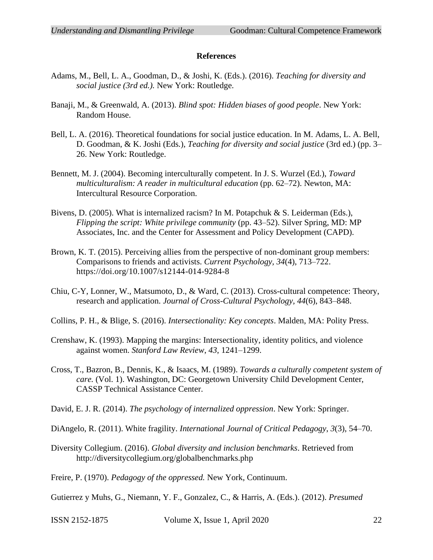#### **References**

- Adams, M., Bell, L. A., Goodman, D., & Joshi, K. (Eds.). (2016). *Teaching for diversity and social justice (3rd ed.).* New York: Routledge.
- Banaji, M., & Greenwald, A. (2013). *Blind spot: Hidden biases of good people*. New York: Random House.
- Bell, L. A. (2016). Theoretical foundations for social justice education. In M. Adams, L. A. Bell, D. Goodman, & K. Joshi (Eds*.*)*, Teaching for diversity and social justice* (3rd ed.) (pp. 3– 26. New York: Routledge.
- Bennett, M. J. (2004). Becoming interculturally competent. In J. S. Wurzel (Ed.), *Toward multiculturalism: A reader in multicultural education* (pp. 62–72). Newton, MA: Intercultural Resource Corporation.
- Bivens, D. (2005). What is internalized racism? In M. Potapchuk & S. Leiderman (Eds.), *Flipping the script: White privilege community* (pp. 43–52). Silver Spring, MD: MP Associates, Inc. and the Center for Assessment and Policy Development (CAPD).
- Brown, K. T. (2015). Perceiving allies from the perspective of non-dominant group members: Comparisons to friends and activists. *Current Psychology, 34*(4), 713–722. https://doi.org/10.1007/s12144-014-9284-8
- Chiu, C-Y, Lonner, W., Matsumoto, D., & Ward, C. (2013). Cross-cultural competence: Theory, research and application. *Journal of Cross-Cultural Psychology, 44*(6), 843–848.
- Collins, P. H., & Blige, S. (2016). *Intersectionality: Key concepts*. Malden, MA: Polity Press.
- Crenshaw, K. (1993). Mapping the margins: Intersectionality, identity politics, and violence against women. *Stanford Law Review*, *43*, 1241–1299.
- Cross, T., Bazron, B., Dennis, K., & Isaacs, M. (1989). *Towards a culturally competent system of care.* (Vol. 1). Washington, DC: Georgetown University Child Development Center, CASSP Technical Assistance Center.
- David, E. J. R. (2014). *The psychology of internalized oppression*. New York: Springer.
- DiAngelo, R. (2011). White fragility. *International Journal of Critical Pedagogy*, *3*(3), 54–70.
- Diversity Collegium. (2016). *Global diversity and inclusion benchmarks*. Retrieved from http://diversitycollegium.org/globalbenchmarks.php
- Freire, P. (1970). *Pedagogy of the oppressed.* New York, Continuum.

Gutierrez y Muhs, G., Niemann, Y. F., Gonzalez, C., & Harris, A. (Eds.). (2012). *Presumed* 

ISSN 2152-1875 Volume X, Issue 1, April 2020 22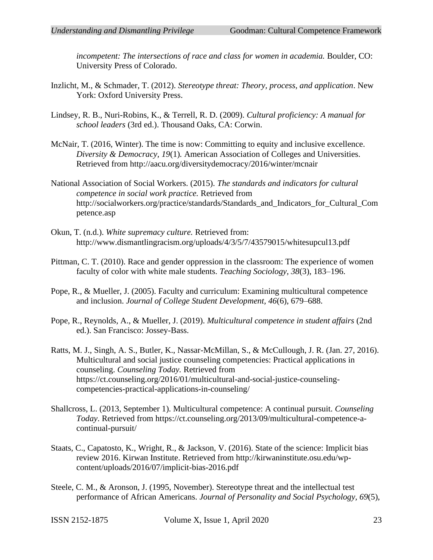*incompetent: The intersections of race and class for women in academia.* Boulder, CO: University Press of Colorado.

- Inzlicht, M., & Schmader, T. (2012). *Stereotype threat: Theory, process, and application*. New York: Oxford University Press.
- Lindsey, R. B., Nuri-Robins, K., & Terrell, R. D. (2009). *Cultural proficiency: A manual for school leaders* (3rd ed.). Thousand Oaks, CA: Corwin.
- McNair, T. (2016, Winter). The time is now: Committing to equity and inclusive excellence. *Diversity & Democracy, 19*(1)*.* American Association of Colleges and Universities. Retrieved from http://aacu.org/diversitydemocracy/2016/winter/mcnair
- National Association of Social Workers. (2015). *The standards and indicators for cultural competence in social work practice.* Retrieved from http://socialworkers.org/practice/standards/Standards\_and\_Indicators\_for\_Cultural\_Com petence.asp
- Okun, T. (n.d.). *White supremacy culture.* Retrieved from: http://www.dismantlingracism.org/uploads/4/3/5/7/43579015/whitesupcul13.pdf
- Pittman, C. T. (2010). Race and gender oppression in the classroom: The experience of women faculty of color with white male students. *Teaching Sociology, 38*(3), 183–196.
- Pope, R., & Mueller, J. (2005). Faculty and curriculum: Examining multicultural competence and inclusion. *Journal of College Student Development, 46*(6), 679–688.
- Pope, R., Reynolds, A., & Mueller, J. (2019). *Multicultural competence in student affairs* (2nd ed.). San Francisco: Jossey-Bass.
- Ratts, M. J., Singh, A. S., Butler, K., Nassar-McMillan, S., & McCullough, J. R. (Jan. 27, 2016). Multicultural and social justice counseling competencies: Practical applications in counseling. *Counseling Today.* Retrieved from https://ct.counseling.org/2016/01/multicultural-and-social-justice-counselingcompetencies-practical-applications-in-counseling/
- Shallcross, L. (2013, September 1). Multicultural competence: A continual pursuit. *Counseling Today*. Retrieved from https://ct.counseling.org/2013/09/multicultural-competence-acontinual-pursuit/
- Staats, C., Capatosto, K., Wright, R., & Jackson, V. (2016). State of the science: Implicit bias review 2016. Kirwan Institute. Retrieved from http://kirwaninstitute.osu.edu/wpcontent/uploads/2016/07/implicit-bias-2016.pdf
- Steele, C. M., & Aronson, J. (1995, November). Stereotype threat and the intellectual test performance of African Americans. *Journal of Personality and Social Psychology, 69*(5),